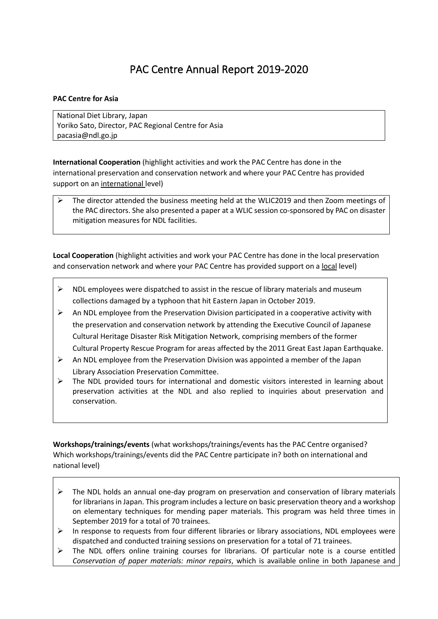## PAC Centre Annual Report 2019-2020

## **PAC Centre for Asia**

National Diet Library, Japan Yoriko Sato, Director, PAC Regional Centre for Asia pacasia@ndl.go.jp

**International Cooperation** (highlight activities and work the PAC Centre has done in the international preservation and conservation network and where your PAC Centre has provided support on an international level)

➢ The director attended the business meeting held at the WLIC2019 and then Zoom meetings of the PAC directors. She also presented a paper at a WLIC session co-sponsored by PAC on disaster mitigation measures for NDL facilities.

**Local Cooperation** (highlight activities and work your PAC Centre has done in the local preservation and conservation network and where your PAC Centre has provided support on a local level)

- $\triangleright$  NDL employees were dispatched to assist in the rescue of library materials and museum collections damaged by a typhoon that hit Eastern Japan in October 2019.
- $\triangleright$  An NDL employee from the Preservation Division participated in a cooperative activity with the preservation and conservation network by attending the Executive Council of Japanese Cultural Heritage Disaster Risk Mitigation Network, comprising members of the former Cultural Property Rescue Program for areas affected by the 2011 Great East Japan Earthquake.
- $\triangleright$  An NDL employee from the Preservation Division was appointed a member of the Japan Library Association Preservation Committee.
- $\triangleright$  The NDL provided tours for international and domestic visitors interested in learning about preservation activities at the NDL and also replied to inquiries about preservation and conservation.

**Workshops/trainings/events** (what workshops/trainings/events has the PAC Centre organised? Which workshops/trainings/events did the PAC Centre participate in? both on international and national level)

- $\triangleright$  The NDL holds an annual one-day program on preservation and conservation of library materials for librarians in Japan. This program includes a lecture on basic preservation theory and a workshop on elementary techniques for mending paper materials. This program was held three times in September 2019 for a total of 70 trainees.
- In response to requests from four different libraries or library associations, NDL employees were dispatched and conducted training sessions on preservation for a total of 71 trainees.
- $\triangleright$  The NDL offers online training courses for librarians. Of particular note is a course entitled *Conservation of paper materials: minor repairs*, which is available online in both Japanese and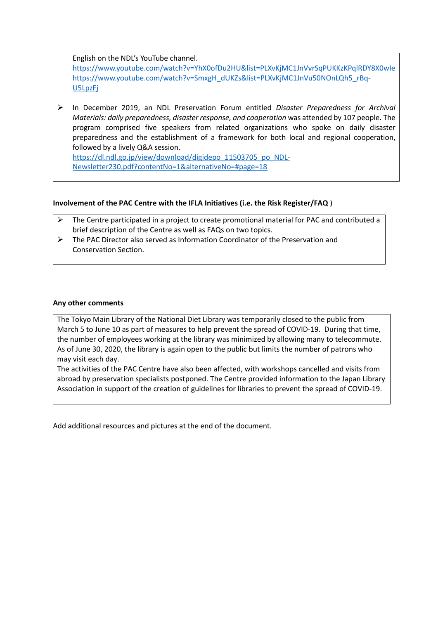English on the NDL's YouTube channel.

<https://www.youtube.com/watch?v=YhX0ofDu2HU&list=PLXvKjMC1JnVvrSqPUKKzKPqlRDY8X0wIe> [https://www.youtube.com/watch?v=SmxgH\\_dUKZs&list=PLXvKjMC1JnVu50NOnLQh5\\_rBq-](https://www.youtube.com/watch?v=SmxgH_dUKZs&list=PLXvKjMC1JnVu50NOnLQh5_rBq-U5LpzFj)[U5LpzFj](https://www.youtube.com/watch?v=SmxgH_dUKZs&list=PLXvKjMC1JnVu50NOnLQh5_rBq-U5LpzFj)

➢ In December 2019, an NDL Preservation Forum entitled *Disaster Preparedness for Archival Materials: daily preparedness, disaster response, and cooperation* was attended by 107 people. The program comprised five speakers from related organizations who spoke on daily disaster preparedness and the establishment of a framework for both local and regional cooperation, followed by a lively Q&A session. [https://dl.ndl.go.jp/view/download/digidepo\\_11503705\\_po\\_NDL-](https://dl.ndl.go.jp/view/download/digidepo_11503705_po_NDL-Newsletter230.pdf?contentNo=1&alternativeNo=#page=18)

[Newsletter230.pdf?contentNo=1&alternativeNo=#page=18](https://dl.ndl.go.jp/view/download/digidepo_11503705_po_NDL-Newsletter230.pdf?contentNo=1&alternativeNo=#page=18)

## **Involvement of the PAC Centre with the IFLA Initiatives (i.e. the Risk Register/FAQ** )

- $\triangleright$  The Centre participated in a project to create promotional material for PAC and contributed a brief description of the Centre as well as FAQs on two topics.
- ➢ The PAC Director also served as Information Coordinator of the Preservation and Conservation Section.

## **Any other comments**

The Tokyo Main Library of the National Diet Library was temporarily closed to the public from March 5 to June 10 as part of measures to help prevent the spread of COVID-19. During that time, the number of employees working at the library was minimized by allowing many to telecommute. As of June 30, 2020, the library is again open to the public but limits the number of patrons who may visit each day.

The activities of the PAC Centre have also been affected, with workshops cancelled and visits from abroad by preservation specialists postponed. The Centre provided information to the Japan Library Association in support of the creation of guidelines for libraries to prevent the spread of COVID-19.

Add additional resources and pictures at the end of the document.